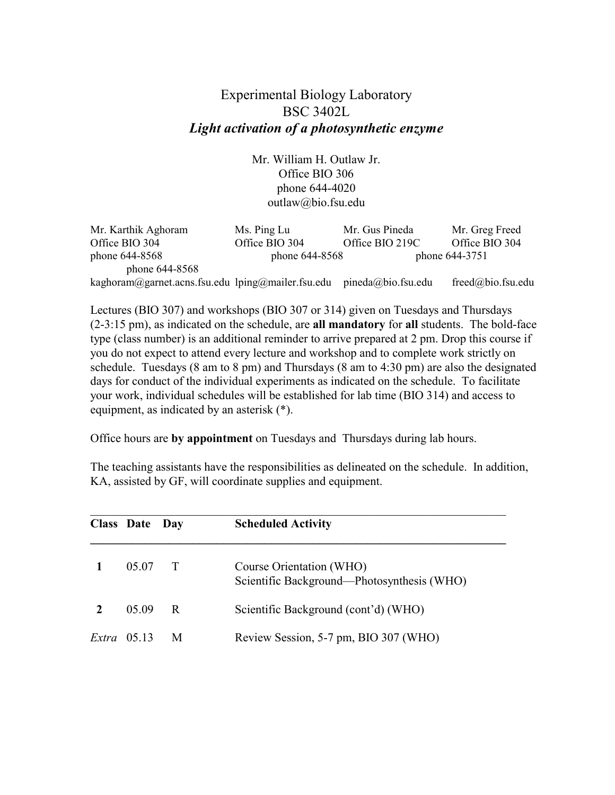## Experimental Biology Laboratory BSC 3402L *Light activation of a photosynthetic enzyme*

Mr. William H. Outlaw Jr. Office BIO 306 phone 644-4020 outlaw@bio.fsu.edu

| Mr. Karthik Aghoram                               | Ms. Ping Lu    | Mr. Gus Pineda     | Mr. Greg Freed    |
|---------------------------------------------------|----------------|--------------------|-------------------|
| Office BIO 304                                    | Office BIO 304 | Office BIO 219C    | Office BIO 304    |
| phone 644-8568                                    | phone 644-8568 |                    | phone 644-3751    |
| phone 644-8568                                    |                |                    |                   |
| kaghoram@garnet.acns.fsu.edu lping@mailer.fsu.edu |                | pineda@bio.fsu.edu | freed@bio.fsu.edu |

Lectures (BIO 307) and workshops (BIO 307 or 314) given on Tuesdays and Thursdays (2-3:15 pm), as indicated on the schedule, are **all mandatory** for **all** students. The bold-face type (class number) is an additional reminder to arrive prepared at 2 pm. Drop this course if you do not expect to attend every lecture and workshop and to complete work strictly on schedule. Tuesdays (8 am to 8 pm) and Thursdays (8 am to 4:30 pm) are also the designated days for conduct of the individual experiments as indicated on the schedule. To facilitate your work, individual schedules will be established for lab time (BIO 314) and access to equipment, as indicated by an asterisk (\*).

Office hours are **by appointment** on Tuesdays and Thursdays during lab hours.

The teaching assistants have the responsibilities as delineated on the schedule. In addition, KA, assisted by GF, will coordinate supplies and equipment.

| <b>Class Date Day</b> |        | <b>Scheduled Activity</b>                                              |
|-----------------------|--------|------------------------------------------------------------------------|
| 05.07                 | $\top$ | Course Orientation (WHO)<br>Scientific Background—Photosynthesis (WHO) |
| 05.09                 | R      | Scientific Background (cont'd) (WHO)                                   |
| <i>Extra</i> 05.13    | M      | Review Session, 5-7 pm, BIO 307 (WHO)                                  |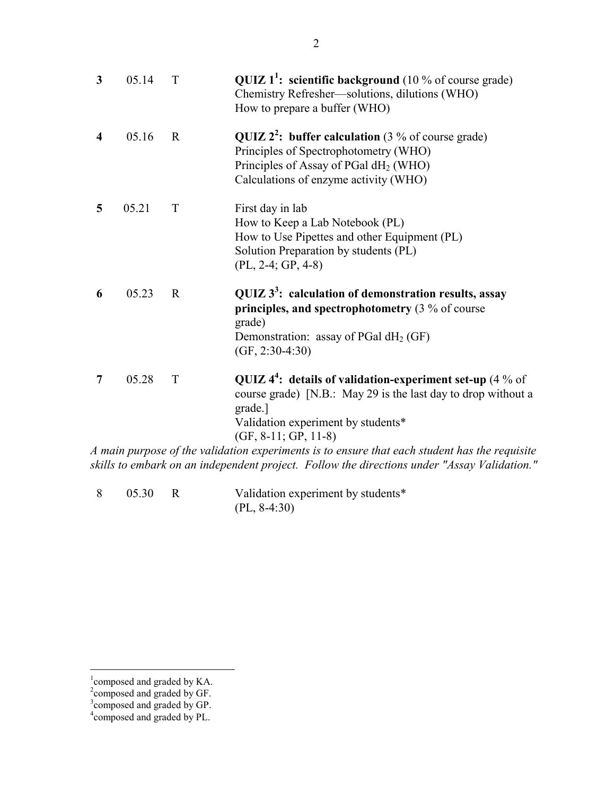| 3 | 05.14 | T           | QUIZ $1^1$ : scientific background (10 % of course grade)<br>Chemistry Refresher—solutions, dilutions (WHO)<br>How to prepare a buffer (WHO)                                                             |
|---|-------|-------------|----------------------------------------------------------------------------------------------------------------------------------------------------------------------------------------------------------|
| 4 | 05.16 | $\mathbf R$ | QUIZ $2^2$ : buffer calculation (3 % of course grade)<br>Principles of Spectrophotometry (WHO)<br>Principles of Assay of PGal dH <sub>2</sub> (WHO)<br>Calculations of enzyme activity (WHO)             |
| 5 | 05.21 | T           | First day in lab<br>How to Keep a Lab Notebook (PL)<br>How to Use Pipettes and other Equipment (PL)<br>Solution Preparation by students (PL)<br>$(PL, 2-4; GP, 4-8)$                                     |
| 6 | 05.23 | $\mathbf R$ | QUIZ $3^3$ : calculation of demonstration results, assay<br>principles, and spectrophotometry $(3\%$ of course<br>grade)<br>Demonstration: assay of PGal dH <sub>2</sub> (GF)<br>$(GF, 2:30-4:30)$       |
| 7 | 05.28 | $\rm T$     | QUIZ $4^4$ : details of validation-experiment set-up (4 % of<br>course grade) [N.B.: May 29 is the last day to drop without a<br>grade.]<br>Validation experiment by students*<br>$(GF, 8-11; GP, 11-8)$ |
|   |       |             | A main purpose of the validation experiments is to ensure that each student has the requisite                                                                                                            |
|   |       |             | skills to embark on an independent project. Follow the directions under "Assay Validation."                                                                                                              |

 8 05.30 R Validation experiment by students\* (PL, 8-4:30)

<sup>&</sup>lt;sup>1</sup>composed and graded by KA.<br><sup>2</sup>composed and graded by GF.<br><sup>3</sup>composed and graded by GP.<br><sup>4</sup>composed and graded by PL.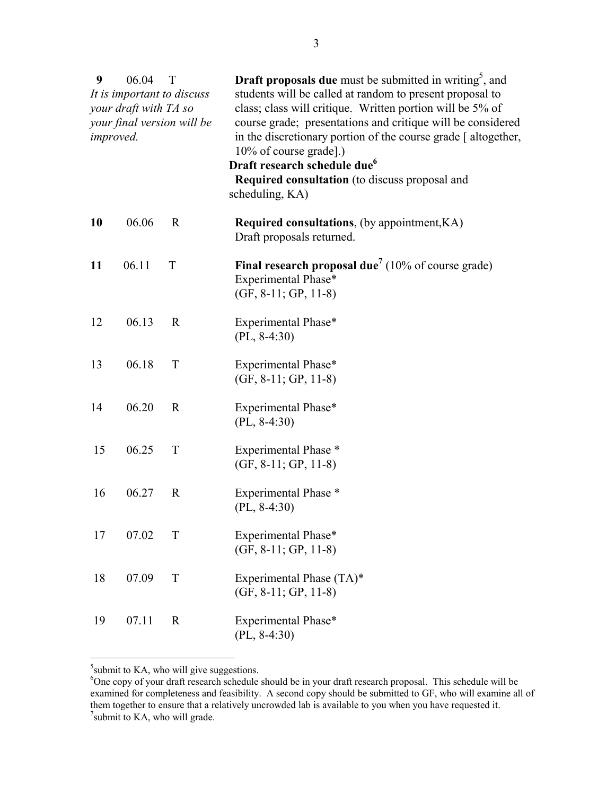| 9<br>06.04<br>T<br>It is important to discuss<br>your draft with TA so<br>your final version will be<br><i>improved.</i> |       |             | <b>Draft proposals due</b> must be submitted in writing <sup>5</sup> , and<br>students will be called at random to present proposal to<br>class; class will critique. Written portion will be 5% of<br>course grade; presentations and critique will be considered<br>in the discretionary portion of the course grade [altogether,<br>10% of course grade].)<br>Draft research schedule due <sup>6</sup><br>Required consultation (to discuss proposal and<br>scheduling, KA) |  |
|--------------------------------------------------------------------------------------------------------------------------|-------|-------------|--------------------------------------------------------------------------------------------------------------------------------------------------------------------------------------------------------------------------------------------------------------------------------------------------------------------------------------------------------------------------------------------------------------------------------------------------------------------------------|--|
| <b>10</b>                                                                                                                | 06.06 | $\mathbf R$ | <b>Required consultations</b> , (by appointment, KA)<br>Draft proposals returned.                                                                                                                                                                                                                                                                                                                                                                                              |  |
| 11                                                                                                                       | 06.11 | T           | <b>Final research proposal due</b> <sup><math>7</math></sup> (10% of course grade)<br>Experimental Phase*<br>$(GF, 8-11; GP, 11-8)$                                                                                                                                                                                                                                                                                                                                            |  |
| 12                                                                                                                       | 06.13 | $\mathbf R$ | Experimental Phase*<br>$(PL, 8-4:30)$                                                                                                                                                                                                                                                                                                                                                                                                                                          |  |
| 13                                                                                                                       | 06.18 | T           | Experimental Phase*<br>$(GF, 8-11; GP, 11-8)$                                                                                                                                                                                                                                                                                                                                                                                                                                  |  |
| 14                                                                                                                       | 06.20 | $\mathbf R$ | Experimental Phase*<br>$(PL, 8-4:30)$                                                                                                                                                                                                                                                                                                                                                                                                                                          |  |
| 15                                                                                                                       | 06.25 | T           | Experimental Phase *<br>$(GF, 8-11; GP, 11-8)$                                                                                                                                                                                                                                                                                                                                                                                                                                 |  |
| 16                                                                                                                       | 06.27 | $\mathbf R$ | Experimental Phase *<br>$(PL, 8-4:30)$                                                                                                                                                                                                                                                                                                                                                                                                                                         |  |
| 17                                                                                                                       | 07.02 | T           | Experimental Phase*<br>$(GF, 8-11; GP, 11-8)$                                                                                                                                                                                                                                                                                                                                                                                                                                  |  |
| 18                                                                                                                       | 07.09 | T           | Experimental Phase (TA)*<br>$(GF, 8-11; GP, 11-8)$                                                                                                                                                                                                                                                                                                                                                                                                                             |  |
| 19                                                                                                                       | 07.11 | $\mathbf R$ | Experimental Phase*<br>$(PL, 8-4:30)$                                                                                                                                                                                                                                                                                                                                                                                                                                          |  |

<sup>&</sup>lt;sup>5</sup><br>Submit to KA, who will give suggestions.<br><sup>6</sup>One copy of your draft research schedule should be in your draft research proposal. This schedule will be examined for completeness and feasibility. A second copy should be submitted to GF, who will examine all of them together to ensure that a relatively uncrowded lab is available to you when you have requested it. <sup>7</sup> submit to KA, who will grade.